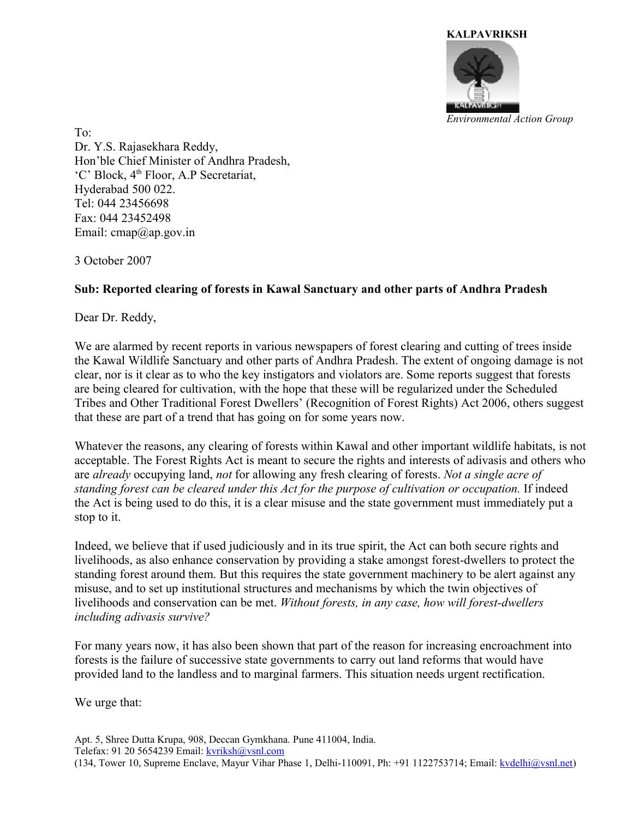

To: Dr. Y.S. Rajasekhara Reddy, Hon'ble Chief Minister of Andhra Pradesh, 'C' Block, 4<sup>th</sup> Floor, A.P Secretariat, Hyderabad 500 022. Tel: 044 23456698 Fax: 044 23452498 Email:  $cmap@ap.gov.in$ 

3 October 2007

## **Sub: Reported clearing of forests in Kawal Sanctuary and other parts of Andhra Pradesh**

Dear Dr. Reddy,

We are alarmed by recent reports in various newspapers of forest clearing and cutting of trees inside the Kawal Wildlife Sanctuary and other parts of Andhra Pradesh. The extent of ongoing damage is not clear, nor is it clear as to who the key instigators and violators are. Some reports suggest that forests are being cleared for cultivation, with the hope that these will be regularized under the Scheduled Tribes and Other Traditional Forest Dwellers' (Recognition of Forest Rights) Act 2006, others suggest that these are part of a trend that has going on for some years now.

Whatever the reasons, any clearing of forests within Kawal and other important wildlife habitats, is not acceptable. The Forest Rights Act is meant to secure the rights and interests of adivasis and others who are *already* occupying land, *not* for allowing any fresh clearing of forests. *Not a single acre of standing forest can be cleared under this Act for the purpose of cultivation or occupation.* If indeed the Act is being used to do this, it is a clear misuse and the state government must immediately put a stop to it.

Indeed, we believe that if used judiciously and in its true spirit, the Act can both secure rights and livelihoods, as also enhance conservation by providing a stake amongst forest-dwellers to protect the standing forest around them. But this requires the state government machinery to be alert against any misuse, and to set up institutional structures and mechanisms by which the twin objectives of livelihoods and conservation can be met. *Without forests, in any case, how will forest-dwellers including adivasis survive?* 

For many years now, it has also been shown that part of the reason for increasing encroachment into forests is the failure of successive state governments to carry out land reforms that would have provided land to the landless and to marginal farmers. This situation needs urgent rectification.

We urge that:

Apt. 5, Shree Dutta Krupa, 908, Deccan Gymkhana. Pune 411004, India. Telefax: 91 20 5654239 Email: [kvriksh@vsnl.com](mailto:kvriksh@vsnl.com) (134, Tower 10, Supreme Enclave, Mayur Vihar Phase 1, Delhi-110091, Ph: +91 1122753714; Email: [kvdelhi@vsnl.net\)](mailto:kvdelhi@vsnl.net)